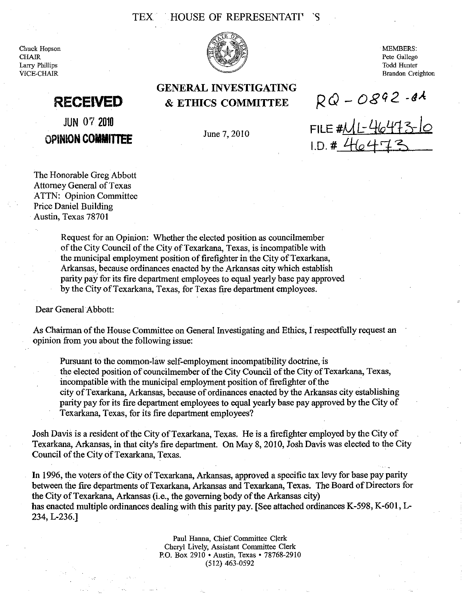### TEX HOUSE OF REPRESENTATIV

Chuck Hopson **CHAIR** Larry Phillips VICE-CHAIR



GENERAL INVESTIGATING

& ETHICS COMMITTEE

MEMBERS: Pete Gallego Todd Hunter Brandon Creighton

 $RQ - O892 - 64$ 

FILE #<u>ML-46473-10</u>

 $1. D. 4442473$ 

## **RECEIVED**

JUN 07 2010 OPINION **COMMITTEE** 

June 7, 2010

The Honorable Greg Abbott Attorney General of Texas ATTN: Opinion Committee Price Daniel Building . Austin, Texas 78701

> Request for an Opinion: Whether the elected position as councilmember of the City Council of the City of Texarkana, Texas, is incompatible with the municipal employment position of firefighter in the City of Texarkana, Arkansas, because ordinances enacted by the Arkansas city which establish parity pay for its fire department employees to equal yearly base pay approved by the City of Texarkana, Texas, for Texas fire department employees.

Dear General Abbott:

As Chairman of the House Committee on General Investigating and Ethics, Irespectfully request an opinion from you about the following issue:

Pursuant to the common-law self-employment incompatibility doctrine, is the elected position of councilmember of the City Council of the City of Texarkana, Texas, incompatible with the municipal employment position of firefighter of the city of Texarkana, Arkansas, because of ordinances enacted by the Arkansas city establishing parity pay for its fire department employees to equal yearly base pay approved by the City of Texarkana, Texas, for its fire department employees?

Josh Davis is a resident of the City of Texarkana, Texas. He is a firefighter employed by the City of Texarkana, Arkansas, in that city's fire department. On May 8, 2010, Josh Davis was elected to the City Council of the City of Texarkana, Texas.

In 1996, the voters of the City of Texarkana, Arkansas, approved a specific tax levy for base pay parity between the fire departments of Texarkana, Arkansas and Texarkana, Texas. The Board of Directors for the City of Texarkana, Arkansas (i.e., the governing body of the Arkansas city) has enacted multiple ordinances dealing with this parity pay. [See attached ordinances K-598, K-601, L-234, L-236.]

> Paul Hanna, Chief Committee Clerk Cheryl Lively, Assistant Committee Clerk P.O. Box 2910 • Anstin, Texas· 78768-2910 (512) 463-0592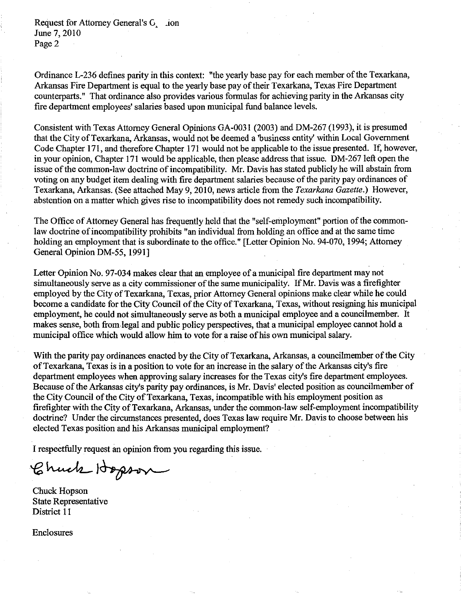Request for Attorney General's G<sub>, ion</sub> June 7, 2010 Page 2

Ordinance L-236 defines parity in this context: "the yearly base pay for each member of the Texarkana, Arkansas Fire Department is equal to the yearly base pay of their Texarkana, Texas Fire Department counterparts." That ordinance also provides various formulas for achieving parity in the Arkansas city fire department employees' salaries based upon municipal fund balance levels.

Consistent with Texas Attorney General Opinions GA-0031 (2003) and DM-267 (1993), it is presumed that the City of Texarkana, Arkansas, would not be deemed a 'business entity' within Local Government Code Chapter 171, and therefore Chapter 171 would not be applicable to the issue presented. If, however, in your opinion, Chapter 171 would be applicable, then please address that issue. DM-267 left open the issue of the common-law doctrine of incompatibility. Mr. Davis has stated publicly he will abstain from voting on any budget item dealing with fire department salaries because of the parity pay ordinances of Texarkana, Arkansas. (See attached May 9,2010, news article from the *Texarkana Gazette.)* However, abstention on a matter which gives rise to incompatibility does not remedy such incompatibility.

The Office of Attorney General has frequently held that the "self-employment" portion of the commonlaw doctrine of incompatibility prohibits "an individual from holding an office and at the same time holding an employment that is subordinate to the office." [Letter Opinion No. 94-070, 1994; Attorney General Opinion DM-55, 1991]

Letter Opinion No. 97-034 makes clear that an employee of a municipal fire department may not simultaneously serve as a city commissioner of the same municipality. If Mr. Davis was a firefighter employed by the City of Texarkana, Texas, prior Attorney General opinions make clear while he could become a candidate for the City Council of the City of Texarkana, Texas, without resigning his municipal employment, he could not simultaneously serve as both a municipal employee and a councilmember. It makes sense, both from legal and public policy perspectives, that a municipal employee cannot hold a municipal office which would allow him to vote for a raise of his own municipal salary.

With the parity pay ordinances enacted by the City of Texarkana, Arkansas, a councilmember of the City of Texarkana, Texas is in a position to vote for an increase in the salary of the Arkansas city's fire department employees when approving salary increases for the Texas city's fire department employees. Because of the Arkansas city's parity pay ordinances, is Mr. Davis' elected position as councilmember of the City Council of the City of Texarkana, Texas, incompatible with his employment position as firefighter with the City of Texarkana, Arkansas, under the common-law self-employment incompatibility doctrine? Under the circumstances presented, does Texas law require Mr. Davis to choose between his elected Texas position and his Arkansas municipal employment?

I respectfully request an opinion from you regarding this issue.

Chuck Hopson

Chuck Hopson State Representative District II

Enclosures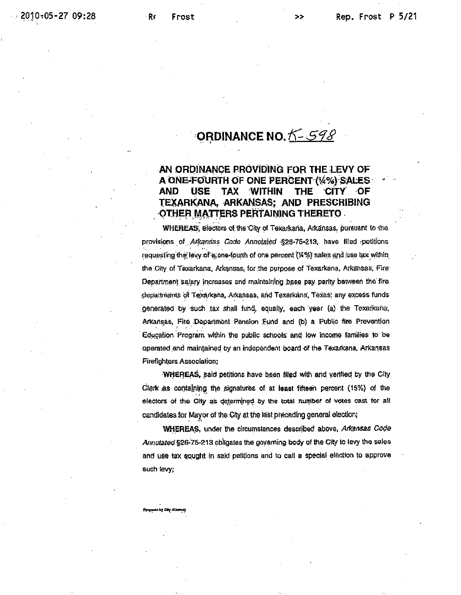## ORDINANCE NO. K-598

#### AN ORDINANCE PROVIDING FOR THE LEVY OF A ONE-FOURTH OF ONE PERCENT (%%) SALES AND **USE** TAX **WITHIN** THE **CITY** ·OF TEXARKANA, ARKANSAS: AND PRESCRIBING OTHER MATTERS PERTAINING THERETO.

WHEREAS, electors of the City of Texarkana, Arkansas, pursuant to the provisions of Arkansas Code Annotated §28-76-213, have filed petitions requesting the levy of a one-fourth of one percent (%%) sales and use tax within the City of Texarkana, Arkansas, for the purpose of Texarkana, Arkansas, Fire Department salary increases and maintaining base pay parity between the fire. depaitments of Texarkana, Arkansas, and Texarkana, Texas; any excess funds generated by such tax shall fund, equally, each year (a) the Texarkana; Arkansas, Fire Department Pension Fund and (b) a Public fire Prevention Education Program within the public schools and low income families to be operated and maintained by an independent board of the Texarkana, Arkansas **Firefighters Association;** 

WHEREAS, said petitions have been filed with and verified by the City Clerk as containing the signatures of at least fifteen percent (15%) of the electors of the City as determined by the total number of votes cast for all candidates for Mayor of the City at the last preceding general election;

WHEREAS, under the circumstances described above, Arkansas Code Annotated §26-75-213 obligates the governing body of the City to levy the sales and use tax sought in said petitions and to call a special election to approve such levy;

Prepared by City Alto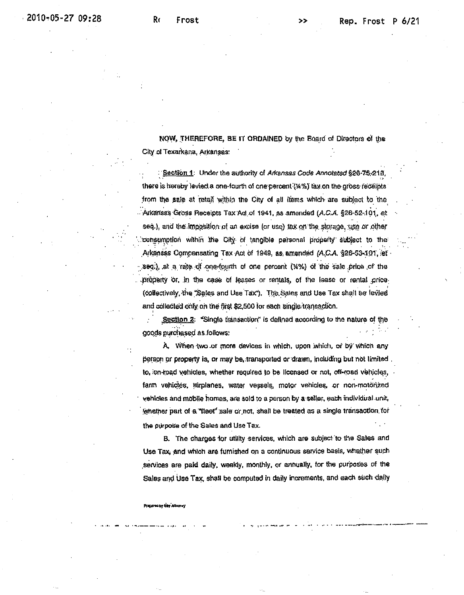NOW, THEREFORE, BE IT ORDAINED by the Board of Directors of the City of Texarkana, Arkansas:

Section 1: Under the authority of Arkansas Code Annotated §26-75-218. there is hereby levied a one-fourth of one percent (%%) tax on the gross receipts from the sale at retail within the City of all items which are subject to the Arkansas Gross Receipts Tax Act of 1941, as amended (A.C.A. §26-52-101, et seq.), and the imposition of an excise (or use) tax on the storage, use or other consumption within the City of tangible personal property subject to the Arkansas Compensating Tax Act of 1949, as amended (A.C.A. §26-53-101, et seq.), at a rate of one-fourth of one percent (14%) of the sale price of the property or, in the case of leases or rentals, of the lease or rental price-(collectively, the "Sales and Use Tax"). The Sales and Use Tax shall be levied and collected only on the first \$2,500 for each single transaction.

Section 2: "Single transaction" is defined according to the nature of the goods purchased as follows:

A. When two or more devices in which, upon which, or by which any person or property is, or may be transported or drawn, including but not limited to, on-road vehicles, whether required to be licensed or not, off-road vehicles, farm vehicles, airplanes, water vessels, motor vehicles, or non-motorized vehicles and mobile homes, are sold to a person by a seller, each individual unit, whether part of a "fleet" sale or not, shall be treated as a single transaction for the purpose of the Sales and Use Tax.

B. The charges for utility services, which are subject to the Sales and Use Tax, and which are furnished on a continuous service basis, whether such services are paid daily, weekly, monthly, or annually, for the purposes of the Sales and Use Tax, shall be computed in daily increments, and each such daily

#### Prapares by City<sup>1</sup>Al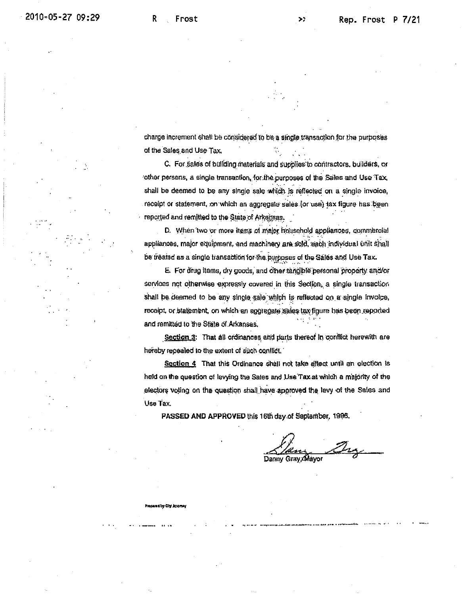Preparad by Gity Amore

charge increment shall be considered to be a single transaction for the purposes of the Sales and Use Tax.

C. For sales of building materials and supplies to contractors, builders, or other persons, a single transaction, for the purposes of the Sales and Use Tax, shall be deemed to be any single sale which is reflected on a single invoice, receipt or statement, on which an aggregate sales (or use) tax figure has been reported and remitted to the State of Arkansas.

D. When two or more items of major household appliances, commercial appliances, major equipment, and machinery are sold, each individual unit shall be treated as a single transaction for the purposes of the Sales and Use Tax.

E. For drug items, dry goods, and other tangible personal property and/or services not otherwise expressly covered in this Section, a single transaction shall be deemed to be any single sale which is reflected on a single invoice, receipt, or statement, on which an aggregate sales tax figure has been reported and remitted to the State of Arkansas.

Section 3: That all ordinances and parts thereof in conflict herewith are hereby repealed to the extent of such conflict.

Section 4 That this Ordinance shall not take effect until an election is held on the question of levying the Sales and Use Tax at which a majority of the electors voting on the question shall have approved the levy of the Sales and Use Tax.

PASSED AND APPROVED this 16th day of September, 1996.

Danny Gray, Mayor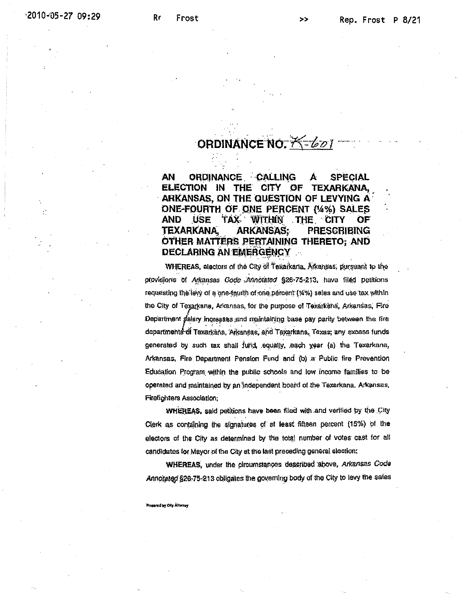## **ORDINANCE NO. K-601**

AN ORDINANCE CALLING SPECIAL A ELECTION IN THE **CITY** OF TEXARKANA, ARKANSAS, ON THE QUESTION OF LEVYING A ONE-FOURTH OF ONE PERCENT (4%) SALES TAX WITHIN THE CITY AND. **USE** OF **TEXARKANA ARKANSAS:** PRESCRIBING OTHER MATTERS PERTAINING THERETO: AND DECLARING AN EMERGENCY

WHEREAS, electors of the City of Texarkaria, Arkansas, pursuant to the provisions of Arkansas Gode Annotated §26-75-213, have filed petitions requesting the levy of a one-fourth of one percent (%%) sales and use tax within the City of Texarkana, Arkansas, for the purpose of Texarkana, Arkansas, Fire Department falary increases and maintaining base pay parity between the fire departments of Texarkana, Arkansas, and Texarkana, Texas; any excess funds generated by such tax shall fund, equally, each year (a) the Texarkana, Arkansas, Fire Department Pension Fund and (b) a Public fire Prevention Education Program within the public schools and low income families to be operated and maintained by an independent board of the Texarkana, Arkansas, Firefighters Association;

WHEREAS, said petitions have been filed with and verified by the City Clerk as containing the signatures of at least fitteen percent (15%) of the electors of the City as determined by the total number of votes cast for all candidates for Mayor of the City at the last preceding general election:

WHEREAS, under the circumstances described above, Arkansas Code Annotated §26-75-213 obligates the governing body of the City to levy the sales

Propared by City Altomay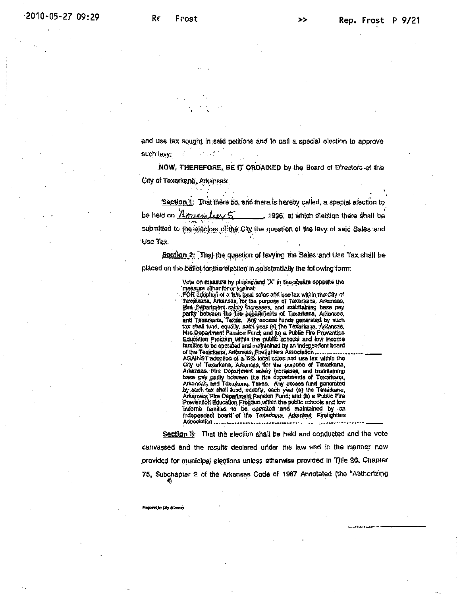and use tax sought in said petitions and to call a special election to approve such levy;

NOW, THEREFORE, BE IT ORDAINED by the Board of Directors of the City of Texarkana, Arkansas:

Section 1: That there be, and there is hereby called, a special election to be hold on  $\Lambda$ orranition  $5$ 1996, at which election there shall be submitted to the electors of the City the question of the levy of said Sales and Use Tax.

Section 2: That the question of levying the Sales and Use Tax shall be placed on the ballot for the election in substantially the following form:

Vote on measure by placing and "X" in the square opposite the<br>Imeasure either for or egainst:

FOR adoption of a key local sales and use tax within the City of Texarkana, Arkansas, for the purpose of Texarkana, Arkansas, Fire Department salary increases, and maintaining base pay parity between the fire separtments of Texarkana, Arkanses,<br>and Texarkana, Texas. Any excess funds generated by such<br>tax shall fund, equally, each year (a) the Texarkana, Arkansas, Fire Department Pension Fund; and (b) a Public Fire Prevention<br>Education: Program within the public schools and low income families to be operated and maintained by an independent board of the Texarkana, Arkansas, Firefighters Association.... AGAINST adoption of a. We folial sales and use tax within the<br>City of Texarkana, Arkansas, for the pupose of Texarkana,<br>Arkansas, Fire Department salary increases, and trainfaining<br>base-pay, parity botween the fire departm Arkansas, and Texarkana, Texas. Any excess fund generated by such fax shall fund, equally, each year (a) the Texational<br>Arkansas, Fire Department Pension Fund; and (b) a Public Fire<br>Prevention Education Frogram within the public schools and low<br>Income families to be operated and independent board of the Texarkana. Arkansas, Firefighters 

Section 3: That the election shall be held and conducted and the vote canvassed and the results declared under the law and in the manner now provided for municipal elections unless otherwise provided in Title 26, Chapter 75, Subchapter 2 of the Arkansas Code of 1987 Annotated (the "Authorizing

Propered by City Atlantic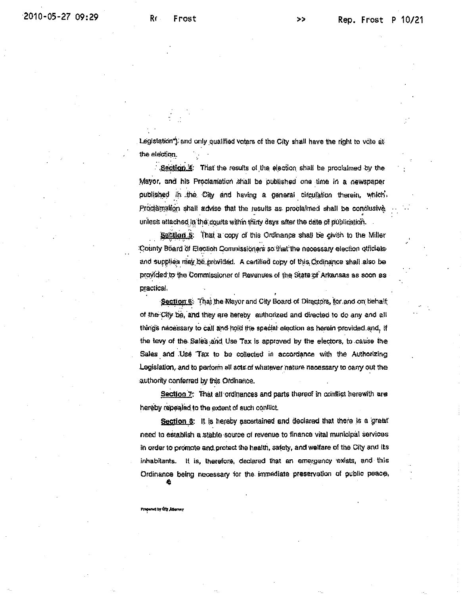Legislation") and only qualified voters of the City shall have the right to vote at the election.

Section 4: That the results of the election shall be proclaimed by the Mayor, and his Proclamation shall be published one time in a newspaper published in the City and having a general circulation therein, which Proclamation shall advise that the results as proclaimed shall be conclusive unless attached in the courts within thirty days after the date of publication.

Section 5: That a copy of this Ordinance shall be given to the Miller County Board of Election Commissioners so that the necessary election officials and supplies may be provided. A certified copy of this Ordinance shall also be provided to the Commissioner of Revenues of the State of Arkansas as soon as practical.

Section 6: That the Wayor and City Board of Directors, for and on behalf of the City be, and they are hereby authorized and directed to do any and all things nacessary to call and hold the special election as herein provided and, if the levy of the Sales and Use Tax is approved by the electors, to cause the Sales and Use Tax to be collected in accordance with the Authorizing Legislation, and to perform all acts of whatever nature necessary to carry out the authority conferred by this Ordinance.

Section 7: That all ordinances and parts thereof in conflict herewith are hereby repealed to the extent of such conflict.

Section 8: It is hereby ascertained and declared that there is a great need to establish a stable source of revenue to finance vital municipal services in order to promote and protect the health, safety, and welfare of the City and its inhabitants. It is, therefore, declared that an emergency exists, and this Ordinance being necessary for the immediate preservation of public peace,

Prepared by Oly Atlames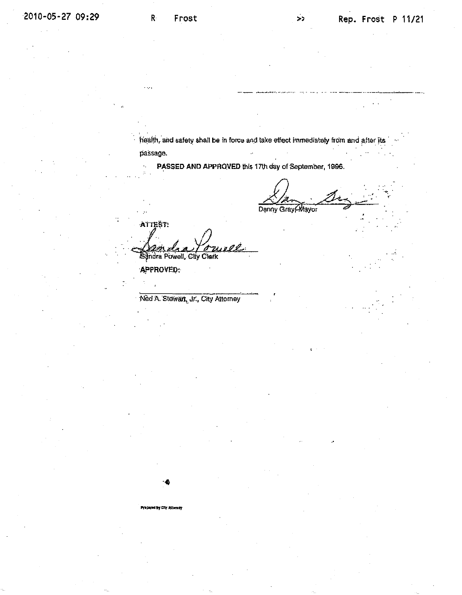${\bf R}$ 

 $\ddotsc$ 

health, and safety shall be in force and take effect immediately from and after its passage.

PASSED AND APPROVED this 17th day of September, 1996.

Dạnny Gray Mayor

ATTEST: omell Sandra Powell, City Clerk

APPROVED:

Ned A. Stewart, Jr., City Attorney

Propert by City Atlanty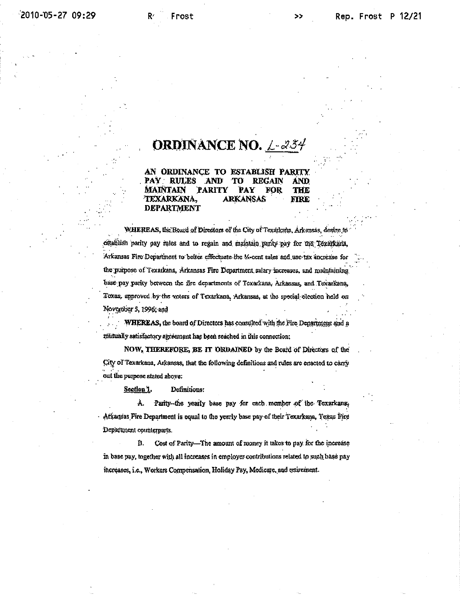## **ORDINANCE NO.** L-234

AN ORDINANCE TO ESTABLISH PARITY **RULES AND REGAIN FOR** THE MAINTAIN PARITY PAY 'TEXARKANA. ARKANSAS ƙTRE **DEPARTMENT** 

WHEREAS, the Board of Directors of the City of Texarkana, Arkensas, desire to establish parity pay rules and to regain and maintain parity pay for the Texarkaria, Arkansas Fire Department to better effectuate the M-cent sales and use tax increase for the purpose of Texarkana, Arkansas Fire Department salary increases, and maintaining base pay parity between the fire departments of Texarkana, Arkansas, and Texarkana, Toxas, approved by the voters of Texarkana, Arkansas, at the special election held on November 5, 1996; and

WHEREAS, the board of Directors has consulted with the Fire Department and a mitually satisfactory agreement has been reached in this connection;

NOW, THEREFORE, BE IT ORDAINED by the Board of Directors of the City of Texarkana, Arkansas, that the following definitions and rules are enacted to carry out the purpose stated above:

Section 1. Definitions:

À. Parity-the yearly base pay for each member of the Texarkans, Atkansas Fire Department is equal to the yearly base pay of their Texarkana, Texas Fire Department counterparts.

B. Cost of Parity-The amount of money it takes to pay for the increase in base pay, together with all increases in employer contributions related to such base pay increases, i.e., Workers Compensation, Holiday Pay, Medicare, and retirement.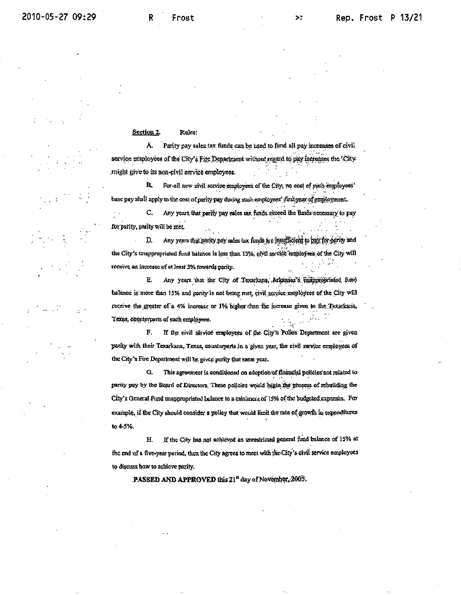#### Section 2. Rules:

Parity pay sales tax funds can be used to fund all pay increases of civil А. service employees of the City's Fire Department without regard to pay increases the 'City' might give to its non-civil service employees.

For all new civil service employees of the City, no cost of such employees' B. base pay shall apply to the cost of parity pay during such employees' first year of employment.

C. Any years that parity pay sales tax funds exceed the funds necessary to pay for parity, parity will be met.

Any years that parity pay sales tax funds are insufficient to pay for parity and Þ. the City's unappropriated fund halance is less than 15%, civil service employees of the City will receive an increase of at least 3% towards parity.

Any years that the City of Texatkana, Arkansas's thatppropriated fund Е. balance is more than 15% and parity is not being met, civil service employees of the City will receive the greater of a 4% increase or 1% higher than the increase given to the Texarkana, Texas, counterparts of such employees.

 ${\bf F}$ If the civil service employees of the City's Potice Department are given parity with their Texarkana, Texas, counterparts in a given year, the civil service employees of the City's Fire Department will be given parity that same year.

G. This agreement is conditioned on adoption of financial policies not related to parity pay by the Board of Directors. These policies would begin the process of rebuilding the City's General Fund unappropriated balance to a minimum of 15% of the budgeted expenses. For example, if the City should consider a policy that would limit the rate of growth in expenditures to 4-5%.

If the City has not achieved an unrestricted general fund balance of 15% at Н. the end of a five-year period, then the City agrees to meet with the City's civil service employees to discuss how to achieve parity.

PASSED AND APPROVED this 21<sup>n</sup> day of November, 2005.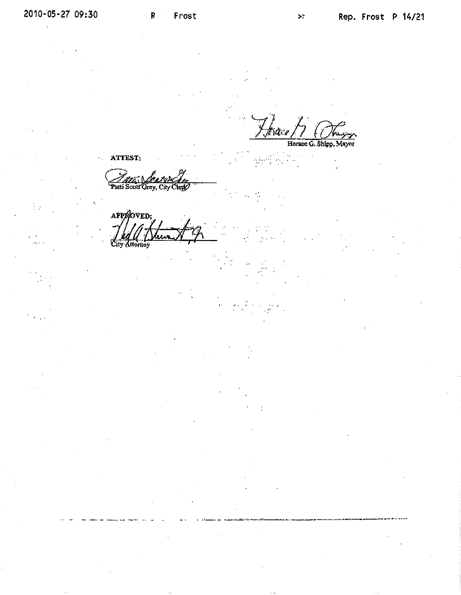$\frac{1}{2}$ 

 $\mathsf{R}$ 

Horace G. Shipp, Mayor

ATTEST:

Path Scott Grev.

APPROVED.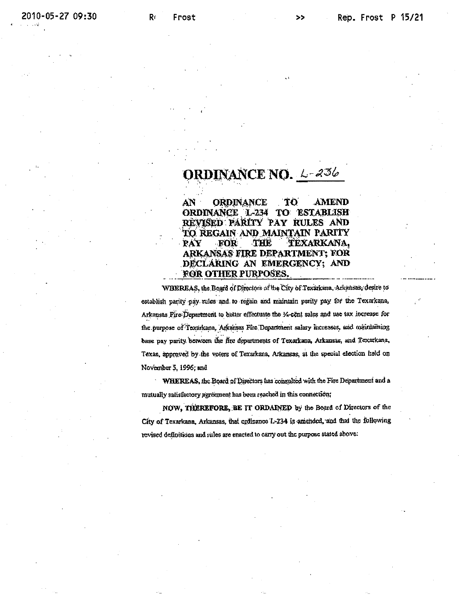## **ORDINANCE NO.** L-236

**ORDINANCE** AN **TO** AMEND ORDINANCE L-234 TO ESTABLISH REVISED PARITY PAY RULES AND TO REGAIN AND MAINTAIN PARITY THE **TEXARKANA,** PAY FOR ARKANSAS FIRE DEPARTMENT; FOR DECLARING AN EMERGENCY; AND FOR OTHER PURPOSES.

WHEREAS, the Board of Directors of the City of Texarkana, Arkansas, desire to establish parity pay rules and to regain and maintain parity pay for the Texarkana, Arkansas Fire Department to better effectuate the 14-cent sales and use tax increase for the purpose of Texarkana, Arkansas Fire Department salary increases, and maintaining base pay parity between the fire departments of Texarkana, Arkansas, and Texarkana, Texas, approved by the voters of Texarkana, Arkansas, at the special election held on November 5, 1996; and

WHEREAS, the Board of Directors has consulted with the Fire Department and a mutually satisfactory agreement has been reached in this connection;

NOW, THEREFORE, BE IT ORDAINED by the Board of Directors of the City of Texarkana, Arkansas, that ordinance L-234 is amended, and that the following revised definitions and rules are enacted to carry out the purpose stated above: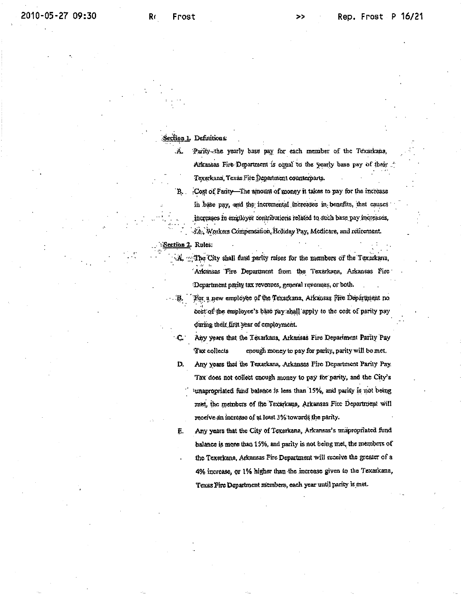#### Section 1. Definitions.

Ä.

- Parity-the yearly base pay for each member of the Texarkana, Arkansas Fire Department is equal to the yearly base pay of their. Texarkana, Texas Fire Department counterparts.
- B. Cost of Parity—The amount of money it takes to pay for the increase in base pay, and the incremental increases in benefits, that causes increases in employer contributions related to such base pay increases, rie., Workers Compensation, Holiday Pay, Medicare, and relirement.

#### Section 2. Rules:

- The City shall fund parity raises for the members of the Texarkana, Arkansas Fire Department from the Texarkana, Arkansas Fire Department parity tax revenues, general revenues, or both.
- $\langle \cdot, \mathbf{B}_{\mathbf{r}} \rangle$ For a new employee of the Texarkana, Arkansas Fire Department no cost of the employee's base pay shall apply to the cost of parity pay during their first year of employment.
	- Any years that the Texarkana, Arkansas Fire Department Parity Pav  $\mathbf{L}$ enough money to pay for parity, parity will be met. I ax collects
	- D, Any years that the Texarkana, Arkansas Fire Department Parity Pay. Tax does not collect enough money to pay for parity, and the City's 'unapropriated fund balance is less than 15%, and parity is not being met, the members of the Texarkana, Arkansas Fire Department will receive an increase of at least 3% towards the parity.
	- Any years that the City of Texarkana, Arkansas's unapropriated fund Ē. halance is more than 15%, and parity is not being met, the members of the Texarkana, Arkansas Fire Department will receive the greater of a 4% increase, or 1% higher than the increase given to the Texarkana, Texas Fire Department members, each year until parity is met.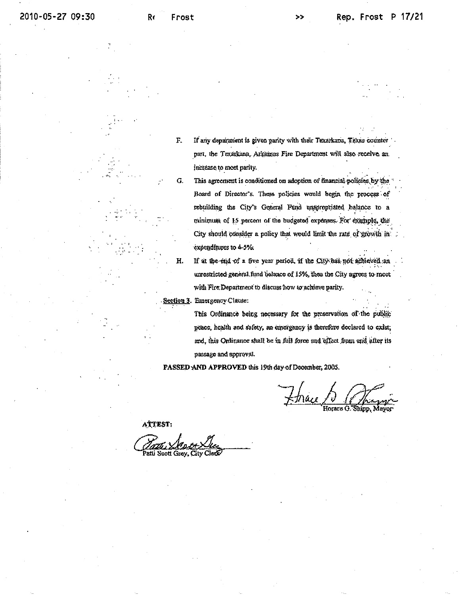$\overline{F}$ .

G.

Н.

If any department is given parity with their Texarkana, Texas counter part, the Texarkana, Arkansas Fire Department will also receive an increase to meet parity.

- This agreement is conditioned on adoption of financial policies by the Board of Director's. These policies would begin the process of rebuilding the City's General Fund unapropriated balance to a minimum of 15 percent of the budgeted expenses. For example, the City should consider a policy that would limit the rate of growth in expenditures to 4-5%.
- If at the end of a five year period, if the City has not achieved an unrestricted general fund balance of 15%, then the City agrees to meet with Fire Department to discuss how to achieve parity.

Section 3. Emergency Clause:

This Ordinance being necessary for the preservation of the public peace, health and safety, an emergency is therefore declared to exist, and, this Ordinance shall be in full force and effect from and after its passage and approval.

PASSED AND APPROVED this 19th day of December, 2005.

 $\n *Time 6*\n$ Horace G. Shinn, Mayor

ATTEST:

Patti Scott Grey, City Cleck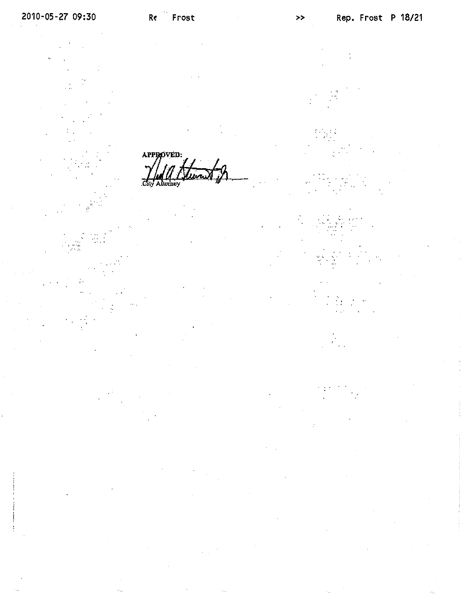APPROVED: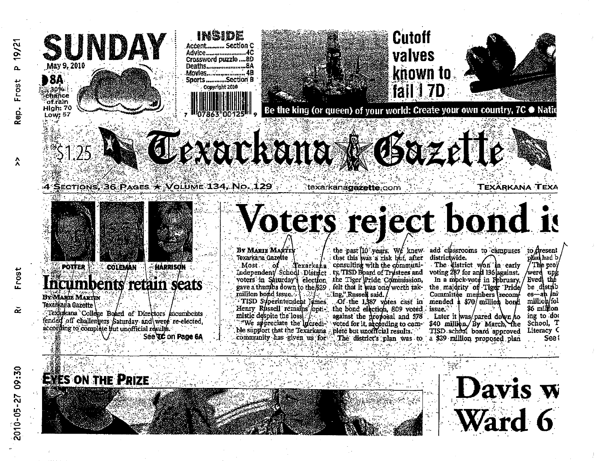

**HÁRRISON** 

See TC on Page 6A

COLEMAN

Texankana College Board of Directors incumbents

fended off challengers Saturday and were re-elected.

according to complete but unofficial results.

umbents retain seats

# Voters reject bond is

**BY MARIE MARTIN** Texarkána Gazette

the past 10 years. We knew add classrooms to campuses to Aresent<br>that this was a risk but, after districtwide. Most of Texarkana consulting with the communi-<br>Independent/School District ty, TISD Board of Trustees and voting 287 for and 136 against.

mistic despite the loss against the proposal and 578 ble support that the Texarkana plete but unofficial results.

voters in Saturday's election the Tiger Pride Commission. In a mpck-vote in February, Eved the<br>gave a thumbs down to the \$29 felt that it was one worth tak- the majority of Tiger Pride be distrib million bond issue. The ling," Russell said. Committee members recom-<br>TISD Syperintendent James. Of the 1,387 votes cast in mended a \$70 million bond<br>Henry Russell remains opti- the bond election, 809 voted issue.

Later it was/pared down to \$40 million, By March, the TISD school board approved community has given us for The district's plan was to a \$29 million proposed plan

The proj werd upk be distrib  $es - sh$  int millioh/fol \$6 million ing to do. School, T Literacy C See l





 $\tilde{\alpha}$ 

**POTTER** 

**BY MARIE MARINE** 

Jexarkana Gazette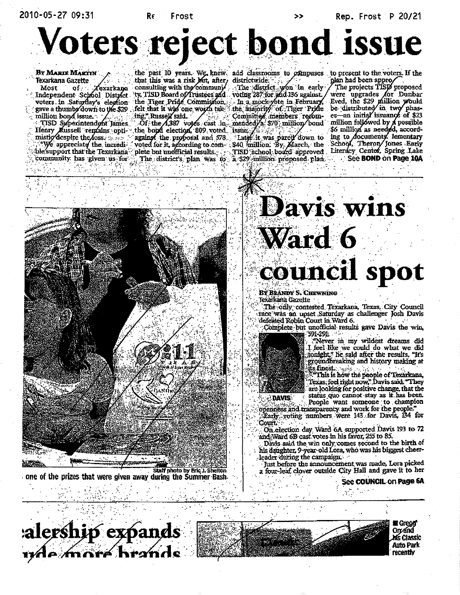2010-05-27 09:31

Re Frost Rep. Frost P 20/21

# Voters reject bond issue

BY MARIE MARTIN Texarkana Gazette Most of Zexarkana<br>Independent School District voters in Saturday's election gave a thumbs down to the \$29. million bond issue. million bond issue.<br>TISD Superintendent James

Henry Russell remains opti-"We appreciate the incredible support that the Texarkana community has given us for Verman (g.

the past 10 years. We knew add classrooms to campuses to present to the voters. If the that this was a risk but, after, districtwide: consulting with the communi/ The district won in early ty, TISD Board of Trustees and voting 287 for and 136 against. the Tiger Pride Commission. In a mock-yote in February, felt that it was one worth tak-

against the proposal and 578. voted for it, according to complete but unofficial results.

the majority of Tiger Pride the main was one work the majority, members recom-<br>Of the 4,387 votes cast in mended a 570 million bond<br>the bond election. 809 voted issue

Later it was pared down to<br>\$40 million: By March, the<br>TISD school board approved The district's plan was to a \$29 million proposed plan.

The projects TISD proposed were upgrades for Dunbar<br>Eved, the \$29 million would<br>be distributed in two phases-an initial issuance of \$23 million followed by  $A$  possible \$6 million as needed according to documents. lementary<br>School, Theron Jones Early<br>Literacy Center, Spring Lake See BOND on Page 10A



one of the prizes that were given away during the Summer Bash.



BY BRANDY S. CHEWNING Texarkana Gazette

The only contested Texarkana, Texas, City Council race was an upset Saturday as challenger Josh Davis defeated Robin Court in Ward 6.

Complete but unofficial results gave Davis the win, 591-291.



"Never in my wildest dreams did I feel like we could do what we did tonight," he said after the results. "It's groundbreaking and history making at its finest and

**This is how the people of Texarkana,** Texas, feel right now," Davis said. "They are looking for positive change, that the status quo cannot stay as it has been.

DAVIS:

People want someone to champion<br>openness and transparency and work for the people." Early voting numbers were 143 for Davis, 134 for Court.

On election day Ward 6A supported Davis 193 to 72 and Ward 6B cast votes in his favor, 255 to 85.

Davis said the win only comes second to the birth of his daughter, 9-year-old Lora, who was his biggest cheerleader during the campaign.

Just before the announcement was made, Lora picked a four-leaf clover outside City Hall and gave it to her

### See COUNCIL on Page 6A





籯 Greggi Orzánd rís Classic Auto Park recentiv